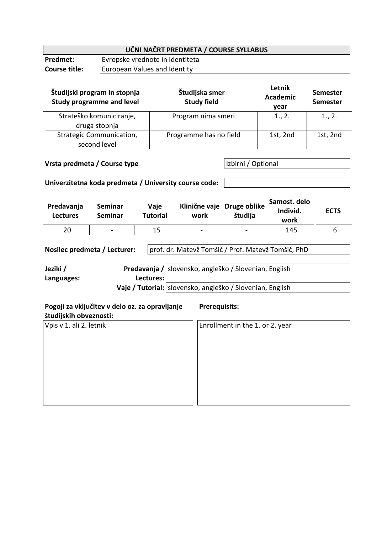| UČNI NAČRT PREDMETA / COURSE SYLLABUS |                                 |  |  |
|---------------------------------------|---------------------------------|--|--|
| <b>Predmet:</b>                       | Evropske vrednote in identiteta |  |  |
| <b>Course title:</b>                  | European Values and Identity    |  |  |
|                                       |                                 |  |  |

| Študijski program in stopnja<br><b>Study programme and level</b> | Študijska smer<br><b>Study field</b> | Letnik<br><b>Academic</b><br>year | <b>Semester</b><br><b>Semester</b> |
|------------------------------------------------------------------|--------------------------------------|-----------------------------------|------------------------------------|
| Strateško komuniciranje,<br>druga stopnja                        | Program nima smeri                   | 1., 2.                            | 1., 2.                             |
| <b>Strategic Communication,</b><br>second level                  | Programme has no field               | 1st, 2nd                          | 1st, 2nd                           |

**Vrsta predmeta / Course type Izbirni / Optional** 

## **Univerzitetna koda predmeta / University course code:**

| Predavanja<br><b>Lectures</b> | Seminar<br>Seminar       | Vaje<br>Tutorial | Klinične vaje Druge oblike<br>work | študija                      | Samost. delo<br>Individ.<br>work | <b>ECTS</b> |
|-------------------------------|--------------------------|------------------|------------------------------------|------------------------------|----------------------------------|-------------|
| 20                            | $\overline{\phantom{a}}$ | 15               | $\overline{\phantom{a}}$           | $\qquad \qquad \blacksquare$ | 145                              |             |

| Nosilec predmeta / Lecturer: |  | prof. dr. Matevž Tomšič / Prof. Matevž Tomšič, PhD          |  |  |
|------------------------------|--|-------------------------------------------------------------|--|--|
|                              |  |                                                             |  |  |
| Jeziki /                     |  | Predavanja / slovensko, angleško / Slovenian, English       |  |  |
| Lectures:<br>Languages:      |  |                                                             |  |  |
|                              |  | Vaje / Tutorial:   slovensko, angleško / Slovenian, English |  |  |

| Pogoji za vključitev v delo oz. za opravljanje<br>študijskih obveznosti: | <b>Prerequisits:</b>            |
|--------------------------------------------------------------------------|---------------------------------|
| Vpis v 1. ali 2. letnik                                                  | Enrollment in the 1. or 2. year |
|                                                                          |                                 |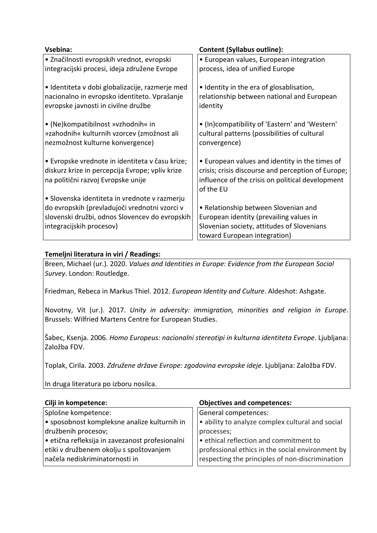| Vsebina:                                        | <b>Content (Syllabus outline):</b>                 |  |  |
|-------------------------------------------------|----------------------------------------------------|--|--|
| · Značilnosti evropskih vrednot, evropski       | · European values, European integration            |  |  |
| integracijski procesi, ideja združene Evrope    | process, idea of unified Europe                    |  |  |
| · Identiteta v dobi globalizacije, razmerje med | • Identity in the era of glosablisation,           |  |  |
| nacionalno in evropsko identiteto. Vprašanje    | relationship between national and European         |  |  |
| evropske javnosti in civilne družbe             | identity                                           |  |  |
| • (Ne)kompatibilnost »vzhodnih« in              | • (In)compatibility of 'Eastern' and 'Western'     |  |  |
| »zahodnih« kulturnih vzorcev (zmožnost ali      | cultural patterns (possibilities of cultural       |  |  |
| nezmožnost kulturne konvergence)                | convergence)                                       |  |  |
| • Evropske vrednote in identiteta v času krize; | • European values and identity in the times of     |  |  |
| diskurz krize in percepcija Evrope; vpliv krize | crisis; crisis discourse and perception of Europe; |  |  |
| na politični razvoj Evropske unije              | influence of the crisis on political development   |  |  |
|                                                 | of the EU                                          |  |  |
| • Slovenska identiteta in vrednote v razmerju   |                                                    |  |  |
| do evropskih (prevladujoči vrednotni vzorci v   | • Relationship between Slovenian and               |  |  |
| slovenski družbi, odnos Slovencev do evropskih  | European identity (prevailing values in            |  |  |
| integracijskih procesov)                        | Slovenian society, attitudes of Slovenians         |  |  |
|                                                 | toward European integration)                       |  |  |

## **Temeljni literatura in viri / Readings:**

Breen, Michael (ur.). 2020. *Values and Identities in Europe: Evidence from the European Social Survey*. London: Routledge.

Friedman, Rebeca in Markus Thiel. 2012. *European Identity and Culture*. Aldeshot: Ashgate.

Novotny, Vit (ur.). 2017. *Unity in adversity: immigration, minorities and religion in Europe*. Brussels: Wilfried Martens Centre for European Studies.

Šabec, Ksenja. 2006. *Homo Europeus: nacionalni stereotipi in kulturna identiteta Evrope*. Ljubljana: Založba FDV.

Toplak, Cirila. 2003. *Združene države Evrope: zgodovina evropske ideje*. Ljubljana: Založba FDV.

In druga literatura po izboru nosilca.

| Cilji in kompetence:                            | <b>Objectives and competences:</b>               |  |  |
|-------------------------------------------------|--------------------------------------------------|--|--|
| Splošne kompetence:                             | General competences:                             |  |  |
| • sposobnost kompleksne analize kulturnih in    | • ability to analyze complex cultural and social |  |  |
| družbenih procesov;                             | processes;                                       |  |  |
| · etična refleksija in zavezanost profesionalni | . ethical reflection and commitment to           |  |  |
| etiki v družbenem okolju s spoštovanjem         | professional ethics in the social environment by |  |  |
| načela nediskriminatornosti in                  | respecting the principles of non-discrimination  |  |  |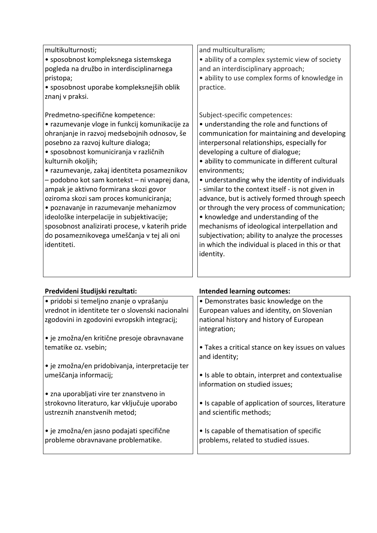| multikulturnosti;                               | and multiculturalism;                             |
|-------------------------------------------------|---------------------------------------------------|
| · sposobnost kompleksnega sistemskega           | • ability of a complex systemic view of society   |
| pogleda na družbo in interdisciplinarnega       | and an interdisciplinary approach;                |
| pristopa;                                       | · ability to use complex forms of knowledge in    |
| • sposobnost uporabe kompleksnejših oblik       | practice.                                         |
| znanj v praksi.                                 |                                                   |
|                                                 |                                                   |
| Predmetno-specifične kompetence:                | Subject-specific competences:                     |
| • razumevanje vloge in funkcij komunikacije za  | • understanding the role and functions of         |
| ohranjanje in razvoj medsebojnih odnosov, še    | communication for maintaining and developing      |
| posebno za razvoj kulture dialoga;              | interpersonal relationships, especially for       |
| • sposobnost komuniciranja v različnih          | developing a culture of dialogue;                 |
| kulturnih okoljih;                              | · ability to communicate in different cultural    |
| • razumevanje, zakaj identiteta posameznikov    | environments;                                     |
| - podobno kot sam kontekst - ni vnaprej dana,   | • understanding why the identity of individuals   |
| ampak je aktivno formirana skozi govor          | - similar to the context itself - is not given in |
| oziroma skozi sam proces komuniciranja;         | advance, but is actively formed through speech    |
| · poznavanje in razumevanje mehanizmov          | or through the very process of communication;     |
| ideološke interpelacije in subjektivacije;      | • knowledge and understanding of the              |
| sposobnost analizirati procese, v katerih pride | mechanisms of ideological interpellation and      |
| do posameznikovega umeščanja v tej ali oni      | subjectivation; ability to analyze the processes  |
| identiteti.                                     | in which the individual is placed in this or that |
|                                                 | identity.                                         |
|                                                 |                                                   |
|                                                 |                                                   |

| Predvideni študijski rezultati:                                                | <b>Intended learning outcomes:</b>                                                |
|--------------------------------------------------------------------------------|-----------------------------------------------------------------------------------|
| • pridobi si temeljno znanje o vprašanju                                       | • Demonstrates basic knowledge on the                                             |
| vrednot in identitete ter o slovenski nacionalni                               | European values and identity, on Slovenian                                        |
| zgodovini in zgodovini evropskih integracij;                                   | national history and history of European                                          |
|                                                                                | integration;                                                                      |
| • je zmožna/en kritične presoje obravnavane                                    |                                                                                   |
| tematike oz. vsebin;                                                           | • Takes a critical stance on key issues on values                                 |
|                                                                                | and identity;                                                                     |
| $\cdot$ je zmožna/en pridobivanja, interpretacije ter                          |                                                                                   |
| umeščanja informacij;                                                          | • Is able to obtain, interpret and contextualise                                  |
|                                                                                | information on studied issues;                                                    |
| • zna uporabljati vire ter znanstveno in                                       |                                                                                   |
| strokovno literaturo, kar vključuje uporabo                                    | • Is capable of application of sources, literature                                |
| ustreznih znanstvenih metod;                                                   | and scientific methods;                                                           |
|                                                                                |                                                                                   |
| • je zmožna/en jasno podajati specifične<br>probleme obravnavane problematike. | • Is capable of thematisation of specific<br>problems, related to studied issues. |
|                                                                                |                                                                                   |
|                                                                                |                                                                                   |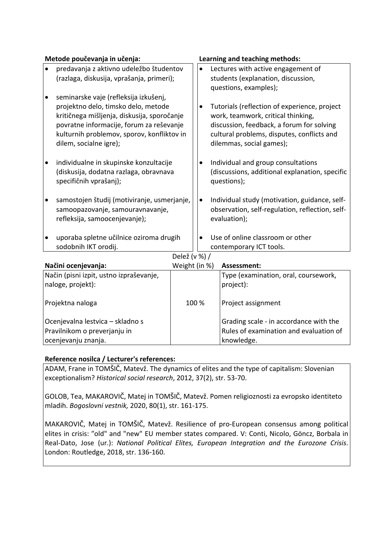|                                           | Metode poučevanja in učenja:                |               |       |                                    | Learning and teaching methods:                  |
|-------------------------------------------|---------------------------------------------|---------------|-------|------------------------------------|-------------------------------------------------|
| $\bullet$                                 | predavanja z aktivno udeležbo študentov     |               |       |                                    | Lectures with active engagement of              |
| (razlaga, diskusija, vprašanja, primeri); |                                             |               |       | students (explanation, discussion, |                                                 |
|                                           |                                             |               |       |                                    | questions, examples);                           |
| $\bullet$                                 | seminarske vaje (refleksija izkušenj,       |               |       |                                    |                                                 |
|                                           | projektno delo, timsko delo, metode         |               |       | $\bullet$                          | Tutorials (reflection of experience, project    |
|                                           | kritičnega mišljenja, diskusija, sporočanje |               |       |                                    | work, teamwork, critical thinking,              |
|                                           | povratne informacije, forum za reševanje    |               |       |                                    | discussion, feedback, a forum for solving       |
|                                           | kulturnih problemov, sporov, konfliktov in  |               |       |                                    | cultural problems, disputes, conflicts and      |
|                                           | dilem, socialne igre);                      |               |       |                                    | dilemmas, social games);                        |
| $\bullet$                                 | individualne in skupinske konzultacije      |               |       | $\bullet$                          | Individual and group consultations              |
|                                           | (diskusija, dodatna razlaga, obravnava      |               |       |                                    | (discussions, additional explanation, specific  |
|                                           | specifičnih vprašanj);                      |               |       |                                    | questions);                                     |
|                                           |                                             |               |       |                                    |                                                 |
|                                           | samostojen študij (motiviranje, usmerjanje, |               |       | $\bullet$                          | Individual study (motivation, guidance, self-   |
|                                           | samoopazovanje, samouravnavanje,            |               |       |                                    | observation, self-regulation, reflection, self- |
|                                           | refleksija, samoocenjevanje);               |               |       |                                    | evaluation);                                    |
|                                           |                                             |               |       |                                    |                                                 |
| $\bullet$                                 | uporaba spletne učilnice oziroma drugih     |               |       | $\bullet$                          | Use of online classroom or other                |
|                                           | sodobnih IKT orodij.                        |               |       |                                    | contemporary ICT tools.                         |
|                                           |                                             | Delež (v %) / |       |                                    |                                                 |
|                                           | Načini ocenjevanja:                         | Weight (in %) |       |                                    | Assessment:                                     |
|                                           | Način (pisni izpit, ustno izpraševanje,     |               |       |                                    | Type (examination, oral, coursework,            |
|                                           | naloge, projekt):                           |               |       |                                    | project):                                       |
| Projektna naloga                          |                                             |               | 100 % |                                    | Project assignment                              |
|                                           |                                             |               |       |                                    |                                                 |
| Ocenjevalna lestvica - skladno s          |                                             |               |       |                                    | Grading scale - in accordance with the          |
| Pravilnikom o preverjanju in              |                                             |               |       |                                    | Rules of examination and evaluation of          |
| ocenjevanju znanja.                       |                                             |               |       |                                    | knowledge.                                      |

## **Reference nosilca / Lecturer's references:**

ADAM, Frane in TOMŠIČ, Matevž. The dynamics of elites and the type of capitalism: Slovenian exceptionalism? *Historical social research*, 2012, 37(2), str. 53-70.

GOLOB, Tea, MAKAROVIČ, Matej in TOMŠIČ, Matevž. Pomen religioznosti za evropsko identiteto mladih. *Bogoslovni vestnik,* 2020, 80(1), str. 161-175.

MAKAROVIČ, Matej in TOMŠIČ, Matevž. Resilience of pro-European consensus among political elites in crisis: "old" and "new" EU member states compared. V: Conti, Nicolo, Göncz, Borbala in Real-Dato, Jose (ur.): *National Political Elites, European Integration and the Eurozone Crisis*. London: Routledge, 2018, str. 136-160.